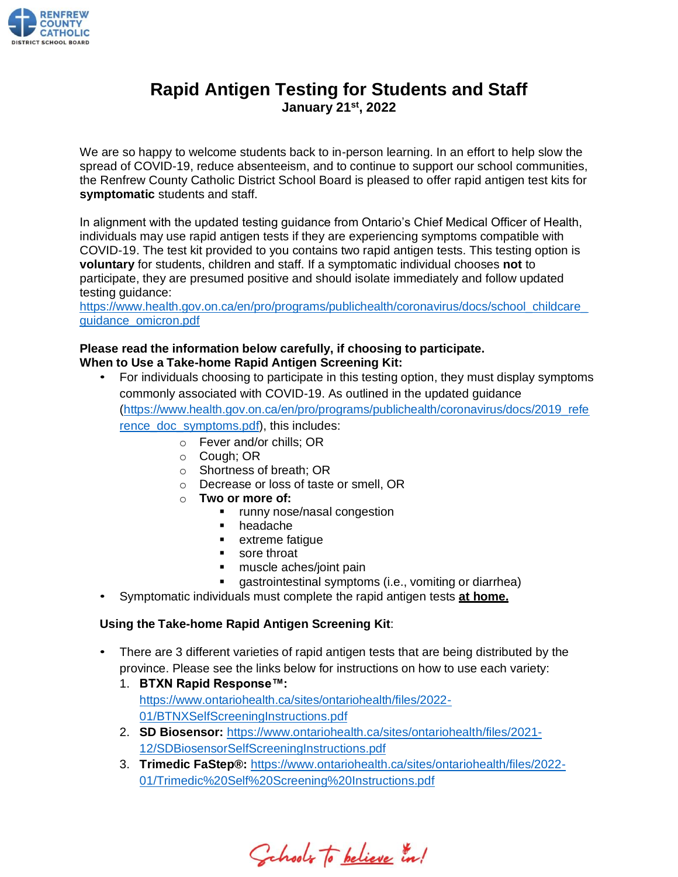

# **Rapid Antigen Testing for Students and Staff January 21 st , 2022**

We are so happy to welcome students back to in-person learning. In an effort to help slow the spread of COVID-19, reduce absenteeism, and to continue to support our school communities, the Renfrew County Catholic District School Board is pleased to offer rapid antigen test kits for **symptomatic** students and staff.

In alignment with the updated testing guidance from Ontario's Chief Medical Officer of Health, individuals may use rapid antigen tests if they are experiencing symptoms compatible with COVID-19. The test kit provided to you contains two rapid antigen tests. This testing option is **voluntary** for students, children and staff. If a symptomatic individual chooses **not** to participate, they are presumed positive and should isolate immediately and follow updated testing guidance:

[https://www.health.gov.on.ca/en/pro/programs/publichealth/coronavirus/docs/school\\_childcare\\_](https://www.health.gov.on.ca/en/pro/programs/publichealth/coronavirus/docs/school_childcare_guidance_omicron.pdf) [guidance\\_omicron.pdf](https://www.health.gov.on.ca/en/pro/programs/publichealth/coronavirus/docs/school_childcare_guidance_omicron.pdf)

# **Please read the information below carefully, if choosing to participate.**

## **When to Use a Take-home Rapid Antigen Screening Kit:**

- For individuals choosing to participate in this testing option, they must display symptoms commonly associated with COVID-19. As outlined in the updated guidance [\(https://www.health.gov.on.ca/en/pro/programs/publichealth/coronavirus/docs/2019\\_refe](https://www.health.gov.on.ca/en/pro/programs/publichealth/coronavirus/docs/2019_reference_doc_symptoms.pdf) rence doc symptoms.pdf), this includes:
	- o Fever and/or chills; OR
	- o Cough; OR
	- o Shortness of breath; OR
	- o Decrease or loss of taste or smell, OR
	- o **Two or more of:**
		- runny nose/nasal congestion
		- headache
		- extreme fatique
		- sore throat
		- muscle aches/joint pain
		- gastrointestinal symptoms (i.e., vomiting or diarrhea)
- Symptomatic individuals must complete the rapid antigen tests **at home.**

### **Using the Take-home Rapid Antigen Screening Kit**:

- There are 3 different varieties of rapid antigen tests that are being distributed by the province. Please see the links below for instructions on how to use each variety:
	- 1. **BTXN Rapid Response™:** [https://www.ontariohealth.ca/sites/ontariohealth/files/2022-](https://www.ontariohealth.ca/sites/ontariohealth/files/2022-01/BTNXSelfScreeningInstructions.pdf) [01/BTNXSelfScreeningInstructions.pdf](https://www.ontariohealth.ca/sites/ontariohealth/files/2022-01/BTNXSelfScreeningInstructions.pdf)
	- 2. **SD Biosensor:** [https://www.ontariohealth.ca/sites/ontariohealth/files/2021-](https://www.ontariohealth.ca/sites/ontariohealth/files/2021-12/SDBiosensorSelfScreeningInstructions.pdf) [12/SDBiosensorSelfScreeningInstructions.pdf](https://www.ontariohealth.ca/sites/ontariohealth/files/2021-12/SDBiosensorSelfScreeningInstructions.pdf)
	- 3. **Trimedic FaStep®:** [https://www.ontariohealth.ca/sites/ontariohealth/files/2022-](https://www.ontariohealth.ca/sites/ontariohealth/files/2022-01/Trimedic%20Self%20Screening%20Instructions.pdf) [01/Trimedic%20Self%20Screening%20Instructions.pdf](https://www.ontariohealth.ca/sites/ontariohealth/files/2022-01/Trimedic%20Self%20Screening%20Instructions.pdf)

Cahools to believe in!